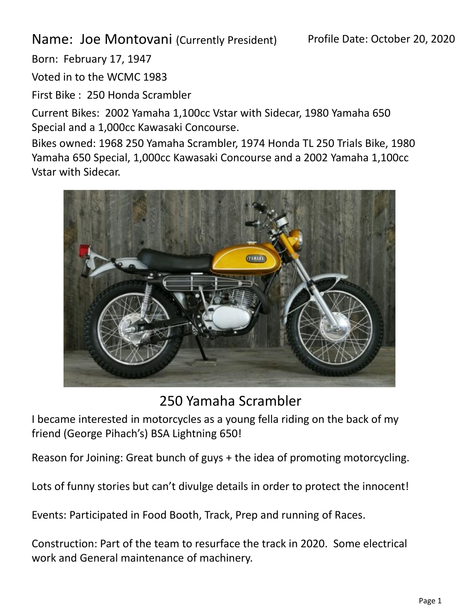Name: Joe Montovani (Currently President)

Born: February 17, 1947

Voted in to the WCMC 1983

First Bike : 250 Honda Scrambler

Current Bikes: 2002 Yamaha 1,100cc Vstar with Sidecar, 1980 Yamaha 650 Special and a 1,000cc Kawasaki Concourse.

Bikes owned: 1968 250 Yamaha Scrambler, 1974 Honda TL 250 Trials Bike, 1980 Yamaha 650 Special, 1,000cc Kawasaki Concourse and a 2002 Yamaha 1,100cc Vstar with Sidecar.



## 250 Yamaha Scrambler

I became interested in motorcycles as a young fella riding on the back of my friend (George Pihach's) BSA Lightning 650!

Reason for Joining: Great bunch of guys + the idea of promoting motorcycling.

Lots of funny stories but can't divulge details in order to protect the innocent!

Events: Participated in Food Booth, Track, Prep and running of Races.

Construction: Part of the team to resurface the track in 2020. Some electrical work and General maintenance of machinery.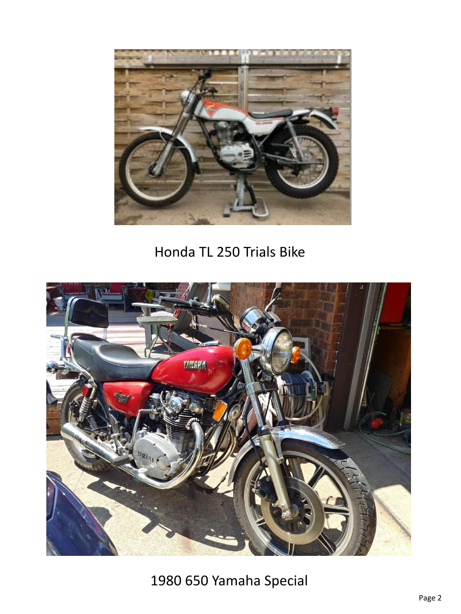

## Honda TL 250 Trials Bike



1980 650 Yamaha Special